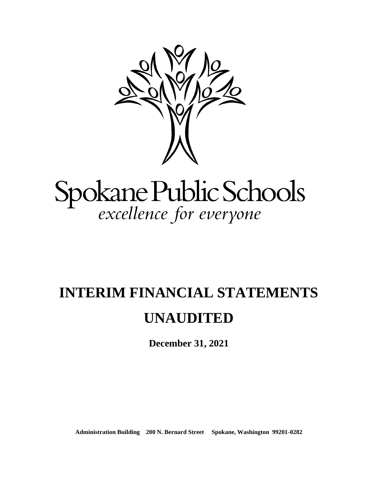

# Spokane Public Schools<br>excellence for everyone

## **INTERIM FINANCIAL STATEMENTS UNAUDITED**

**December 31, 2021**

**Administration Building 200 N. Bernard Street Spokane, Washington 99201-0282**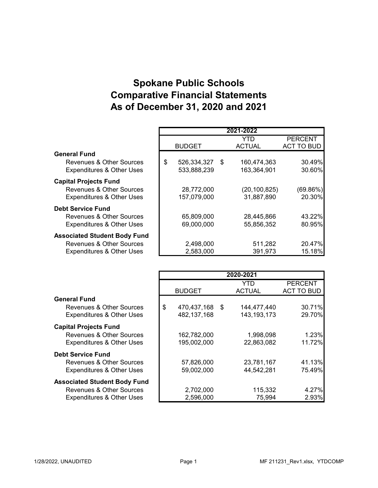### **Spokane Public Schools Comparative Financial Statements As of December 31, 2020 and 2021**

|                                      |                      | 2021-2022      |                   |
|--------------------------------------|----------------------|----------------|-------------------|
|                                      |                      | YTD            | <b>PERCENT</b>    |
|                                      | <b>BUDGET</b>        | <b>ACTUAL</b>  | <b>ACT TO BUD</b> |
| <b>General Fund</b>                  |                      |                |                   |
| Revenues & Other Sources             | \$<br>526,334,327 \$ | 160,474,363    | 30.49%            |
| <b>Expenditures &amp; Other Uses</b> | 533,888,239          | 163,364,901    | 30.60%            |
| <b>Capital Projects Fund</b>         |                      |                |                   |
| <b>Revenues &amp; Other Sources</b>  | 28,772,000           | (20, 100, 825) | $(69.86\%)$       |
| <b>Expenditures &amp; Other Uses</b> | 157,079,000          | 31,887,890     | 20.30%            |
| <b>Debt Service Fund</b>             |                      |                |                   |
| <b>Revenues &amp; Other Sources</b>  | 65,809,000           | 28,445,866     | 43.22%            |
| <b>Expenditures &amp; Other Uses</b> | 69,000,000           | 55,856,352     | 80.95%            |
| <b>Associated Student Body Fund</b>  |                      |                |                   |
| Revenues & Other Sources             | 2,498,000            | 511,282        | 20.47%            |
| <b>Expenditures &amp; Other Uses</b> | 2,583,000            | 391,973        | 15.18%            |

|                                      |                   |      | 2020-2021     |                |
|--------------------------------------|-------------------|------|---------------|----------------|
|                                      |                   |      | YTD           | <b>PERCENT</b> |
|                                      | <b>BUDGET</b>     |      | <b>ACTUAL</b> | ACT TO BUD     |
| <b>General Fund</b>                  |                   |      |               |                |
| Revenues & Other Sources             | \$<br>470,437,168 | - \$ | 144,477,440   | 30.71%         |
| <b>Expenditures &amp; Other Uses</b> | 482,137,168       |      | 143, 193, 173 | 29.70%         |
| <b>Capital Projects Fund</b>         |                   |      |               |                |
| Revenues & Other Sources             | 162,782,000       |      | 1,998,098     | 1.23%          |
| <b>Expenditures &amp; Other Uses</b> | 195,002,000       |      | 22,863,082    | 11.72%         |
| <b>Debt Service Fund</b>             |                   |      |               |                |
| Revenues & Other Sources             | 57,826,000        |      | 23,781,167    | 41.13%         |
| <b>Expenditures &amp; Other Uses</b> | 59,002,000        |      | 44,542,281    | 75.49%         |
| <b>Associated Student Body Fund</b>  |                   |      |               |                |
| Revenues & Other Sources             | 2,702,000         |      | 115,332       | 4.27%          |
| <b>Expenditures &amp; Other Uses</b> | 2,596,000         |      | 75,994        | 2.93%          |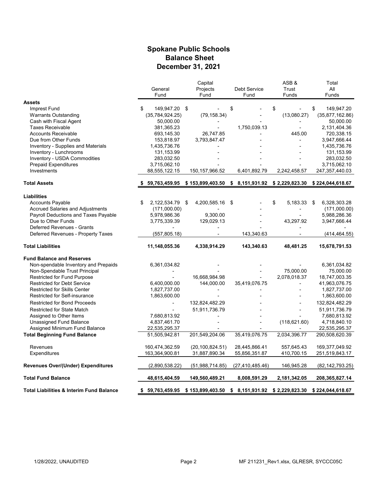#### **Spokane Public Schools Balance Sheet December 31, 2021**

|                                                     |                     | Capital                                                                       |                     | ASB&           | Total              |
|-----------------------------------------------------|---------------------|-------------------------------------------------------------------------------|---------------------|----------------|--------------------|
|                                                     | General             | Projects                                                                      | <b>Debt Service</b> | Trust          | All                |
|                                                     | Fund                | Fund                                                                          | Fund                | Funds          | Funds              |
| <b>Assets</b>                                       |                     |                                                                               |                     |                |                    |
| Imprest Fund                                        | \$<br>149,947.20 \$ |                                                                               | \$                  | \$             | \$<br>149,947.20   |
| <b>Warrants Outstanding</b>                         | (35, 784, 924.25)   | (79, 158.34)                                                                  |                     | (13,080.27)    | (35,877,162.86)    |
| Cash with Fiscal Agent                              | 50,000.00           |                                                                               |                     |                | 50,000.00          |
| <b>Taxes Receivable</b>                             | 381,365.23          |                                                                               | 1,750,039.13        | $\blacksquare$ | 2,131,404.36       |
| <b>Accounts Receivable</b>                          | 693,145.30          | 26,747.85                                                                     |                     | 445.00         | 720,338.15         |
| Due from Other Funds                                | 153,818.97          | 3,793,847.47                                                                  |                     |                | 3,947,666.44       |
| <b>Inventory - Supplies and Materials</b>           | 1,435,736.76        |                                                                               |                     |                | 1,435,736.76       |
| Inventory - Lunchrooms                              | 131, 153.99         |                                                                               |                     |                | 131,153.99         |
| Inventory - USDA Commodities                        | 283,032.50          |                                                                               |                     |                | 283,032.50         |
| <b>Prepaid Expenditures</b>                         | 3,715,062.10        |                                                                               |                     |                | 3,715,062.10       |
| Investments                                         | 88,555,122.15       | 150, 157, 966.52                                                              | 6,401,892.79        | 2,242,458.57   | 247,357,440.03     |
|                                                     |                     |                                                                               |                     |                |                    |
| <b>Total Assets</b>                                 | 59,763,459.95       | \$153,899,403.50 \$8,151,931.92 \$2,229,823.30 \$224,044,618.67               |                     |                |                    |
| <b>Liabilities</b>                                  |                     |                                                                               |                     |                |                    |
| <b>Accounts Payable</b>                             | \$<br>2,122,534.79  | 4,200,585.16 \$<br>\$                                                         |                     | \$<br>5,183.33 | 6,328,303.28<br>\$ |
| <b>Accrued Salaries and Adjustments</b>             | (171,000.00)        |                                                                               |                     |                | (171,000.00)       |
| Payroll Deductions and Taxes Payable                | 5,978,986.36        | 9,300.00                                                                      |                     |                | 5,988,286.36       |
| Due to Other Funds                                  | 3,775,339.39        | 129,029.13                                                                    |                     | 43,297.92      | 3,947,666.44       |
| Deferred Revenues - Grants                          |                     |                                                                               |                     |                |                    |
| Deferred Revenues - Property Taxes                  | (557, 805.18)       |                                                                               | 143,340.63          |                | (414, 464.55)      |
| <b>Total Liabilities</b>                            | 11,148,055.36       | 4,338,914.29                                                                  | 143,340.63          | 48,481.25      | 15,678,791.53      |
| <b>Fund Balance and Reserves</b>                    |                     |                                                                               |                     |                |                    |
| Non-spendable Inventory and Prepaids                | 6,361,034.82        |                                                                               |                     |                | 6,361,034.82       |
| Non-Spendable Trust Principal                       |                     |                                                                               |                     | 75,000.00      | 75,000.00          |
| Restricted for Fund Purpose                         |                     | 16,668,984.98                                                                 |                     | 2,078,018.37   | 18,747,003.35      |
| <b>Restricted for Debt Service</b>                  | 6,400,000.00        | 144,000.00                                                                    | 35,419,076.75       | L.             | 41,963,076.75      |
| <b>Restricted for Skills Center</b>                 | 1,827,737.00        |                                                                               |                     |                | 1,827,737.00       |
| Restricted for Self-insurance                       | 1,863,600.00        |                                                                               |                     |                | 1,863,600.00       |
| <b>Restricted for Bond Proceeds</b>                 |                     | 132,824,482.29                                                                |                     |                | 132,824,482.29     |
|                                                     |                     |                                                                               |                     |                |                    |
| <b>Restricted for State Match</b>                   |                     | 51,911,736.79                                                                 |                     |                | 51,911,736.79      |
| Assigned to Other Items                             | 7,680,813.92        |                                                                               |                     |                | 7,680,813.92       |
| Unassigned Fund Balance                             | 4,837,461.70        |                                                                               |                     | (118, 621.60)  | 4,718,840.10       |
| Assigned Minimum Fund Balance                       | 22,535,295.37       |                                                                               |                     |                | 22,535,295.37      |
| <b>Total Beginning Fund Balance</b>                 | 51,505,942.81       | 201,549,204.06                                                                | 35,419,076.75       | 2,034,396.77   | 290,508,620.39     |
| Revenues                                            | 160,474,362.59      | (20, 100, 824.51)                                                             | 28,445,866.41       | 557,645.43     | 169,377,049.92     |
| Expenditures                                        | 163,364,900.81      | 31,887,890.34                                                                 | 55,856,351.87       | 410,700.15     | 251,519,843.17     |
| <b>Revenues Over/(Under) Expenditures</b>           | (2,890,538.22)      | (51,988,714.85)                                                               | (27, 410, 485.46)   | 146,945.28     | (82, 142, 793.25)  |
| <b>Total Fund Balance</b>                           | 48,615,404.59       | 149,560,489.21                                                                | 8,008,591.29        | 2,181,342.05   | 208,365,827.14     |
| <b>Total Liabilities &amp; Interim Fund Balance</b> | \$                  | 59,763,459.95 \$153,899,403.50 \$8,151,931.92 \$2,229,823.30 \$224,044,618.67 |                     |                |                    |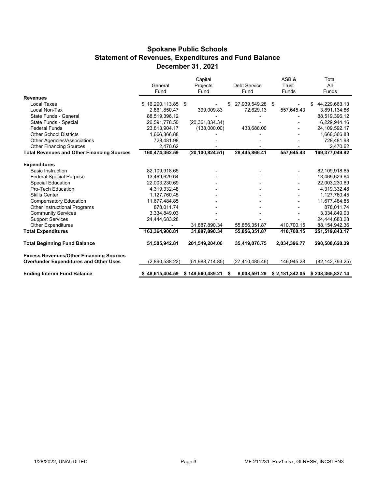#### **Spokane Public Schools Statement of Revenues, Expenditures and Fund Balance December 31, 2021**

|                                                   |                 | Capital           |                    | ASB&           | Total               |
|---------------------------------------------------|-----------------|-------------------|--------------------|----------------|---------------------|
|                                                   | General         | Projects          | Debt Service       | Trust          | All                 |
|                                                   | Fund            | Fund              | Fund               | Funds          | Funds               |
| <b>Revenues</b>                                   |                 |                   |                    |                |                     |
| <b>Local Taxes</b>                                | \$16,290,113.85 | \$                | 27,939,549.28 \$   |                | 44,229,663.13<br>\$ |
| Local Non-Tax                                     | 2,861,850.47    | 399,009.83        | 72.629.13          | 557,645.43     | 3,891,134.86        |
| State Funds - General                             | 88,519,396.12   |                   |                    |                | 88,519,396.12       |
| State Funds - Special                             | 26,591,778.50   | (20, 361, 834.34) |                    |                | 6,229,944.16        |
| <b>Federal Funds</b>                              | 23,813,904.17   | (138,000.00)      | 433,688.00         |                | 24,109,592.17       |
| <b>Other School Districts</b>                     | 1,666,366.88    |                   |                    |                | 1,666,366.88        |
| Other Agencies/Associations                       | 728,481.98      |                   |                    |                | 728,481.98          |
| <b>Other Financing Sources</b>                    | 2.470.62        |                   |                    |                | 2,470.62            |
| <b>Total Revenues and Other Financing Sources</b> | 160,474,362.59  | (20, 100, 824.51) | 28,445,866.41      | 557,645.43     | 169,377,049.92      |
| <b>Expenditures</b>                               |                 |                   |                    |                |                     |
| <b>Basic Instruction</b>                          | 82,109,918.65   |                   |                    |                | 82,109,918.65       |
| <b>Federal Special Purpose</b>                    | 13,469,629.64   |                   |                    |                | 13,469,629.64       |
| Special Education                                 | 22,003,230.69   |                   |                    |                | 22,003,230.69       |
| Pro-Tech Education                                | 4,319,332.48    |                   |                    |                | 4,319,332.48        |
| <b>Skills Center</b>                              | 1,127,760.45    |                   |                    |                | 1,127,760.45        |
| <b>Compensatory Education</b>                     | 11,677,484.85   |                   |                    |                | 11,677,484.85       |
| Other Instructional Programs                      | 878,011.74      |                   |                    |                | 878,011.74          |
| <b>Community Services</b>                         | 3,334,849.03    |                   |                    |                | 3,334,849.03        |
| <b>Support Services</b>                           | 24,444,683.28   |                   |                    |                | 24,444,683.28       |
| <b>Other Expenditures</b>                         |                 | 31,887,890.34     | 55,856,351.87      | 410,700.15     | 88, 154, 942. 36    |
| <b>Total Expenditures</b>                         | 163,364,900.81  | 31,887,890.34     | 55,856,351.87      | 410,700.15     | 251,519,843.17      |
| <b>Total Beginning Fund Balance</b>               | 51,505,942.81   | 201,549,204.06    | 35,419,076.75      | 2,034,396.77   | 290,508,620.39      |
| <b>Excess Revenues/Other Financing Sources</b>    |                 |                   |                    |                |                     |
| <b>Over/under Expenditures and Other Uses</b>     | (2,890,538.22)  | (51,988,714.85)   | (27, 410, 485.46)  | 146,945.28     | (82, 142, 793.25)   |
| <b>Ending Interim Fund Balance</b>                | \$48,615,404.59 | \$149,560,489.21  | 8,008,591.29<br>S. | \$2,181,342.05 | \$208,365,827.14    |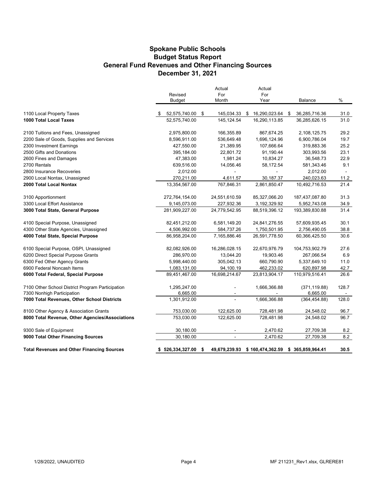#### **Spokane Public Schools General Fund Revenues and Other Financing Sources December 31, 2021 Budget Status Report**

|                                                                                | Revised                  |     | Actual<br>For  | Actual<br>For                                   |                           |                 |
|--------------------------------------------------------------------------------|--------------------------|-----|----------------|-------------------------------------------------|---------------------------|-----------------|
|                                                                                | <b>Budget</b>            |     | Month          | Year                                            | Balance                   | %               |
| 1100 Local Property Taxes                                                      | 52,575,740.00 \$         |     | 145,034.33 \$  | 16,290,023.64 \$                                | 36,285,716.36             | 31.0            |
| 1000 Total Local Taxes                                                         | 52,575,740.00            |     | 145,124.54     | 16,290,113.85                                   | 36,285,626.15             | 31.0            |
| 2100 Tuitions and Fees, Unassigned                                             | 2,975,800.00             |     | 166,355.89     | 867,674.25                                      | 2,108,125.75              | 29.2            |
| 2200 Sale of Goods, Supplies and Services                                      | 8,596,911.00             |     | 536,649.48     | 1,696,124.96                                    | 6,900,786.04              | 19.7            |
| 2300 Investment Earnings                                                       | 427,550.00               |     | 21,389.95      | 107,666.64                                      | 319,883.36                | 25.2            |
| 2500 Gifts and Donations                                                       | 395,184.00               |     | 22,801.72      | 91,190.44                                       | 303,993.56                | 23.1            |
| 2600 Fines and Damages                                                         | 47,383.00                |     | 1,981.24       | 10,834.27                                       | 36,548.73                 | 22.9            |
| 2700 Rentals                                                                   | 639,516.00               |     | 14,056.46      | 58,172.54                                       | 581,343.46                | 9.1             |
| 2800 Insurance Recoveries                                                      | 2,012.00                 |     |                |                                                 | 2,012.00                  |                 |
| 2900 Local Nontax, Unassigned                                                  | 270,211.00               |     | 4,611.57       | 30,187.37                                       | 240,023.63                | 11.2            |
| 2000 Total Local Nontax                                                        | 13,354,567.00            |     | 767,846.31     | 2,861,850.47                                    | 10,492,716.53             | 21.4            |
| 3100 Apportionment                                                             | 272,764,154.00           |     | 24,551,610.59  | 85,327,066.20                                   | 187,437,087.80            | 31.3            |
| 3300 Local Effort Assistance                                                   | 9,145,073.00             |     | 227,932.36     | 3,192,329.92                                    | 5,952,743.08              | 34.9            |
| 3000 Total State, General Purpose                                              | 281,909,227.00           |     | 24,779,542.95  | 88,519,396.12                                   | 193,389,830.88            | 31.4            |
| 4100 Special Purpose, Unassigned                                               | 82,451,212.00            |     | 6,581,149.20   | 24,841,276.55                                   | 57,609,935.45             | 30.1            |
| 4300 Other State Agencies, Unassigned                                          | 4,506,992.00             |     | 584,737.26     | 1,750,501.95                                    | 2,756,490.05              | 38.8            |
| 4000 Total State, Special Purpose                                              | 86,958,204.00            |     | 7,165,886.46   | 26,591,778.50                                   | 60,366,425.50             | 30.6            |
| 6100 Special Purpose, OSPI, Unassigned                                         | 82,082,926.00            |     | 16,286,028.15  | 22,670,976.79                                   | 104,753,902.79            | 27.6            |
| 6200 Direct Special Purpose Grants                                             | 286,970.00               |     | 13,044.20      | 19,903.46                                       | 267,066.54                | 6.9             |
| 6300 Fed Other Agency Grants                                                   | 5,998,440.00             |     | 305,042.13     | 660,790.90                                      | 5,337,649.10              | 11.0            |
| 6900 Federal Noncash Items                                                     | 1,083,131.00             |     | 94,100.19      | 462,233.02                                      | 620,897.98                | 42.7            |
| 6000 Total Federal, Special Purpose                                            | 89,451,467.00            |     | 16,698,214.67  | 23,813,904.17                                   | 110,979,516.41            | 26.6            |
| 7100 Other School District Program Participation<br>7300 Nonhigh Participation | 1,295,247.00<br>6,665.00 |     | $\sim$         | 1,666,366.88                                    | (371, 119.88)<br>6,665.00 | 128.7<br>$\sim$ |
| 7000 Total Revenues, Other School Districts                                    | 1,301,912.00             |     |                | 1,666,366.88                                    | (364, 454.88)             | 128.0           |
| 8100 Other Agency & Association Grants                                         | 753,030.00               |     | 122,625.00     | 728,481.98                                      | 24,548.02                 | 96.7            |
| 8000 Total Revenue, Other Agencies/Associations                                | 753,030.00               |     | 122,625.00     | 728,481.98                                      | 24,548.02                 | 96.7            |
| 9300 Sale of Equipment                                                         | 30,180.00                |     | $\blacksquare$ | 2,470.62                                        | 27,709.38                 | 8.2             |
| 9000 Total Other Financing Sources                                             | 30,180.00                |     | $\mathbf{r}$   | 2,470.62                                        | 27,709.38                 | 8.2             |
| <b>Total Revenues and Other Financing Sources</b>                              | \$526,334,327.00         | -\$ |                | 49,679,239.93 \$160,474,362.59 \$365,859,964.41 |                           | 30.5            |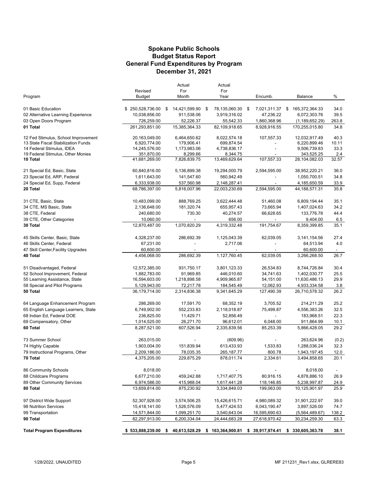#### **Budget Status Report General Fund Expenditures by Program Spokane Public Schools December 31, 2021**

|                                     |                  | Actual                                                                             |     | Actual        |                    |                  |       |
|-------------------------------------|------------------|------------------------------------------------------------------------------------|-----|---------------|--------------------|------------------|-------|
|                                     | Revised          | For                                                                                |     | For           |                    |                  |       |
| Program                             | Budget           | Month                                                                              |     | Year          | Encumb.            | Balance          | %     |
| 01 Basic Education                  | \$250,528,736.00 | 14,421,599.90<br>\$                                                                | -\$ | 78,135,060.30 | \$<br>7,021,311.37 | \$165,372,364.33 | 34.0  |
| 02 Alternative Learning Experience  | 10,038,856.00    | 911,538.06                                                                         |     | 3,919,316.02  | 47,236.22          | 6,072,303.76     | 39.5  |
| 03 Open Doors Program               | 726,259.00       | 52,226.37                                                                          |     | 55,542.33     | 1,860,368.96       | (1, 189, 652.29) | 263.8 |
| 01 Total                            | 261,293,851.00   | 15,385,364.33                                                                      |     | 82,109,918.65 | 8,928,916.55       | 170,255,015.80   | 34.8  |
| 12 Fed Stimulus, School Improvement | 20,163,049.00    | 6,464,650.62                                                                       |     | 8,022,574.18  | 107,557.33         | 12,032,917.49    | 40.3  |
| 13 State Fiscal Stabilization Funds | 6,920,774.00     | 179,906.41                                                                         |     | 699,874.54    |                    | 6,220,899.46     | 10.11 |
| 14 Federal Stimulus, IDEA           | 14,245,576.00    | 1,173,983.06                                                                       |     | 4,738,836.17  |                    | 9,506,739.83     | 33.3  |
| 19 Federal Stimulus, Other Monies   | 351,870.00       | 8,299.66                                                                           |     | 8,344.75      |                    | 343,525.25       | 2.4   |
| 10 Total                            | 41,681,269.00    | 7,826,839.75                                                                       |     | 13,469,629.64 | 107,557.33         | 28,104,082.03    | 32.57 |
| 21 Special Ed, Basic, State         | 60,840,816.00    | 5,136,899.38                                                                       |     | 19,294,000.79 | 2,594,595.00       | 38,952,220.21    | 36.0  |
| 23 Special Ed, ARP, Federal         | 1,611,643.00     | 141,547.60                                                                         |     | 560,942.49    |                    | 1,050,700.51     | 34.8  |
| 24 Special Ed, Supp, Federal        | 6,333,938.00     | 537,560.98                                                                         |     | 2,148,287.41  |                    | 4,185,650.59     | 33.9  |
| 20 Total                            | 68,786,397.00    | 5,816,007.96                                                                       |     | 22,003,230.69 | 2,594,595.00       | 44,188,571.31    | 35.8  |
| 31 CTE, Basic, State                | 10,483,099.00    | 888,769.25                                                                         |     | 3,622,444.48  | 51,460.08          | 6,809,194.44     | 35.1  |
| 34 CTE, MS Basic, State             | 2,136,648.00     | 181,320.74                                                                         |     | 655,957.43    | 73,665.94          | 1,407,024.63     | 34.2  |
| 38 CTE, Federal                     | 240,680.00       | 730.30                                                                             |     | 40,274.57     | 66,628.65          | 133,776.78       | 44.4  |
| 39 CTE, Other Categories            | 10,060.00        |                                                                                    |     | 656.00        |                    | 9,404.00         | 6.5   |
| 30 Total                            | 12,870,487.00    | 1,070,820.29                                                                       |     | 4,319,332.48  | 191,754.67         | 8,359,399.85     | 35.1  |
| 45 Skills Center, Basic, State      | 4,328,237.00     | 286,692.39                                                                         |     | 1,125,043.39  | 62,039.05          | 3,141,154.56     | 27.4  |
| 46 Skills Center, Federal           | 67,231.00        |                                                                                    |     | 2,717.06      |                    | 64,513.94        | 4.0   |
| 47 Skill Center, Facility Upgrades  | 60,600.00        |                                                                                    |     |               |                    | 60,600.00        |       |
| 40 Total                            | 4,456,068.00     | 286,692.39                                                                         |     | 1,127,760.45  | 62,039.05          | 3,266,268.50     | 26.7  |
| 51 Disadvantaged, Federal           | 12,572,385.00    | 931,750.17                                                                         |     | 3,801,123.33  | 26,534.83          | 8,744,726.84     | 30.4  |
| 52 School Improvement, Federal      | 1,882,783.00     | 91,969.85                                                                          |     | 446,010.60    | 34,741.63          | 1,402,030.77     | 25.5  |
| 55 Learning Assistance, State       | 16,594,603.00    | 1,218,898.58                                                                       |     | 4,909,965.87  | 54,151.00          | 11,630,486.13    | 29.9  |
| 58 Special and Pilot Programs       | 5,129,943.00     | 72,217.78                                                                          |     | 184,545.49    | 12,062.93          | 4,933,334.58     | 3.8   |
| 50 Total                            | 36,179,714.00    | 2,314,836.38                                                                       |     | 9,341,645.29  | 127,490.39         | 26,710,578.32    | 26.2  |
| 64 Language Enhancement Program     | 286,269.00       | 17,591.70                                                                          |     | 68,352.19     | 3,705.52           | 214,211.29       | 25.2  |
| 65 English Language Learners, State | 6,749,902.00     | 552,233.83                                                                         |     | 2,118,018.87  | 75,499.87          | 4,556,383.26     | 32.5  |
| 68 Indian Ed, Federal DOE           | 236,825.00       | 11,429.71                                                                          |     | 52,856.49     |                    | 183,968.51       | 22.3  |
| 69 Compensatory, Other              | 1,014,525.00     | 26,271.70                                                                          |     | 96,612.01     | 6,048.00           | 911,864.99       | 10.1  |
| 60 Total                            | 8,287,521.00     | 607,526.94                                                                         |     | 2,335,839.56  | 85,253.39          | 5,866,428.05     | 29.2  |
| 73 Summer School                    | 263,015.00       |                                                                                    |     | (609.96)      |                    | 263,624.96       | (0.2) |
| 74 Highly Capable                   | 1,903,004.00     | 151,839.94                                                                         |     | 613,433.93    | 1,533.83           | 1,288,036.24     | 32.3  |
| 79 Instructional Programs, Other    | 2,209,186.00     | 78,035.35                                                                          |     | 265,187.77    | 800.78             | 1,943,197.45     | 12.0  |
| 70 Total                            | 4,375,205.00     | 229,875.29                                                                         |     | 878,011.74    | 2,334.61           | 3,494,858.65     | 20.1  |
| 86 Community Schools                | 8,018.00         |                                                                                    |     |               |                    | 8,018.00         |       |
| 88 Childcare Programs               | 6,677,210.00     | 459,242.88                                                                         |     | 1,717,407.75  | 80,916.15          | 4,878,886.10     | 26.9  |
| 89 Other Community Services         | 6,974,586.00     | 415,988.04                                                                         |     | 1,617,441.28  | 118,146.85         | 5,238,997.87     | 24.9  |
| 80 Total                            | 13,659,814.00    | 875,230.92                                                                         |     | 3,334,849.03  | 199,063.00         | 10,125,901.97    | 25.9  |
| 97 District Wide Support            | 52,307,928.00    | 3,574,506.25                                                                       |     | 15,426,615.71 | 4,980,089.32       | 31,901,222.97    | 39.0  |
| 98 Nutrition Services               | 15,418,141.00    | 1,526,576.09                                                                       |     | 5,477,424.53  | 6,043,190.47       | 3,897,526.00     | 74.7  |
| 99 Transportation                   | 14,571,844.00    | 1,099,251.70                                                                       |     | 3,540,643.04  | 16,595,690.63      | (5,564,489.67)   | 138.2 |
| 90 Total                            | 82,297,913.00    | 6,200,334.04                                                                       |     | 24,444,683.28 | 27,618,970.42      | 30,234,259.30    | 63.3  |
| <b>Total Program Expenditures</b>   |                  | \$533,888,239.00 \$40,613,528.29 \$163,364,900.81 \$39,917,974.41 \$330,605,363.78 |     |               |                    |                  | 38.1  |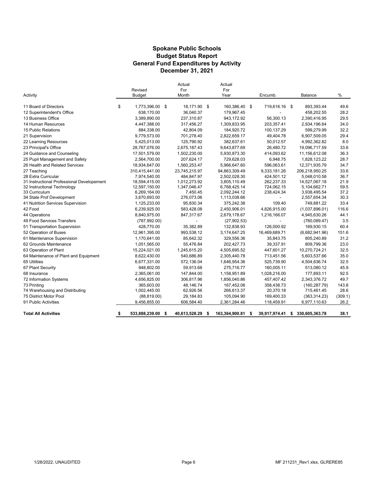#### **Spokane Public Schools General Fund Expenditures by Activity December 31, 2021 Budget Status Report**

| Activity                                   | Revised<br><b>Budget</b> |      | Actual<br>For<br>Month | Actual<br>For<br>Year | Encumb.                  | Balance              | $\%$    |
|--------------------------------------------|--------------------------|------|------------------------|-----------------------|--------------------------|----------------------|---------|
| 11 Board of Directors                      | \$<br>1,773,396.00 \$    |      | 18,171.90 \$           | 160,386.40 \$         | 719,616.16 \$            | 893,393.44           | 49.6    |
| 12 Superintendent's Office                 | 638,170.00               |      | 36,040.37              | 179,967.45            |                          | 458,202.55           | 28.2    |
| 13 Business Office                         | 3,389,890.00             |      | 237,310.87             | 943,172.92            | 56.300.13                | 2,390,416.95         | 29.5    |
| 14 Human Resources                         | 4,447,388.00             |      | 317,456.27             | 1,309,833.95          | 203,357.41               | 2,934,196.64         | 34.0    |
| 15 Public Relations                        | 884.338.00               |      | 42.804.09              | 184,920.72            | 100,137.29               | 599.279.99           | 32.2    |
| 21 Supervision                             | 9,779,573.00             |      | 701,278.40             | 2,822,659.17          | 49,404.78                | 6,907,509.05         | 29.4    |
| 22 Learning Resources                      | 5,425,013.00             |      | 125,790.92             | 382,637.61            | 50,012.57                | 4,992,362.82         | 8.0     |
| 23 Principal's Office                      | 28,767,076.00            |      | 2,675,187.43           | 9,643,877.69          | 26,480.72                | 19,096,717.59        | 33.6    |
| 24 Guidance and Counseling                 | 17,501,579.00            |      | 1,502,230.00           | 5,930,873.30          | 414,093.62               | 11,156,612.08        | 36.3    |
| 25 Pupil Management and Safety             | 2,564,700.00             |      | 207,624.17             | 729,628.03            | 6,948.75                 | 1,828,123.22         | 28.7    |
| 26 Health and Related Services             | 18,934,647.00            |      | 1,560,253.47           | 5,966,647.60          | 596,063.61               | 12,371,935.79        | 34.7    |
| 27 Teaching                                | 310,415,441.00           |      | 23,745,215.97          | 94,863,309.49         | 9,333,181.26             | 206,218,950.25       | 33.6    |
| 28 Extra Curricular                        | 7,974,540.00             |      | 484,847.97             | 2,502,028.30          | 424,501.12               | 5,048,010.58         | 36.7    |
| 31 Instructional Professional Developement | 18,594,415.00            |      | 1,012,273.92           | 3,805,110.49          | 262,237.33               | 14,527,067.18        | 21.9    |
| 32 Instructional Technology                | 12,597,150.00            |      | 1,347,046.47           | 6,768,425.14          | 724,062.15               | 5,104,662.71         | 59.5    |
| 33 Curriculum                              | 6,269,164.00             |      | 7,450.45               | 2,092,244.12          | 238,424.34               | 3,938,495.54         | 37.2    |
| 34 State Prof Development                  | 3,670,693.00             |      | 276,073.06             | 1,113,038.66          | $\overline{\phantom{0}}$ | 2,557,654.34         | 30.3    |
| 41 Nutrition Services Supervision          | 1,125,233.00             |      | 95,830.34              | 375,242.38            | 109.40                   | 749,881.22           | 33.4    |
| 42 Food                                    | 6,239,925.00             |      | 583,428.08             | 2,450,906.01          | 4,826,915.00             | (1,037,896.01)       | 116.6   |
| 44 Operations                              | 8,840,975.00             |      | 847,317.67             | 2,679,178.67          | 1,216,166.07             | 4,945,630.26         | 44.1    |
| 49 Food Services Transfers                 | (787, 992.00)            |      |                        | (27,902.53)           | $\overline{\phantom{0}}$ | (760, 089.47)        | 3.5     |
| 51 Transportation Supervision              | 428,770.00               |      | 35,382.89              | 132,838.93            | 126,000.92               | 169,930.15           | 60.4    |
| 52 Operation of Buses                      | 12,961,395.00            |      | 993,538.12             | 3,174,647.25          | 16,469,689.71            | (6,682,941.96)       | 151.6   |
| 61 Maintenance Supervision                 | 1,170,641.00             |      | 85,642.32              | 329.556.36            | 35,843.75                | 805,240.89           | 31.2    |
| 62 Grounds Maintenance                     | 1,051,565.00             |      | 55,476.84              | 202,427.73            | 39,337.91                | 809,799.36           | 23.0    |
| 63 Operation of Plant                      | 15,224,021.00            |      | 1,245,615.20           | 4,505,695.52          | 447,601.27               | 10,270,724.21        | 32.5    |
| 64 Maintenance of Plant and Equipment      | 8,622,430.00             |      | 540,686.89             | 2,305,440.78          | 713,451.56               | 5,603,537.66         | 35.0    |
| 65 Utilities                               | 6,677,331.00             |      | 572,136.04             | 1,646,954.36          | 525,739.90               | 4,504,636.74         | 32.5    |
| 67 Plant Security                          | 948,802.00               |      | 59,913.68              | 275,716.77            | 160,005.11               | 513,080.12           | 45.9    |
| 68 Insurance                               | 2,365,061.00             |      | 147,844.00             | 1,158,951.89          | 1,028,216.00             | 177,893.11           | 92.5    |
| 72 Information Systems                     | 4,656,825.00             |      | 306,817.96             | 1,856,040.86          | 457,407.42               | 2,343,376.72         | 49.7    |
| 73 Printing                                | 365,603.00               |      | 48,146.74              | 167,452.06            | 358,438.73               | (160, 287.79)        | 143.8   |
| 74 Warehousing and Distributing            | 1,002,445.00             |      | 62,926.56              | 266,613.37            | 20,370.18                | 715,461.45           | 28.6    |
| 75 District Motor Pool                     | (88, 819.00)             |      | 29,184.83              | 105,094.90            | 169,400.33               | (363, 314.23)        | (309.1) |
| 91 Public Activities                       | 9,456,855.00             |      | 606,584.40             | 2,361,284.46          | 118,459.91               | 6,977,110.63         | 26.2    |
| <b>Total All Activities</b>                | \$<br>533,888,239.00     | - \$ | 40,613,528.29          | \$<br>163,364,900.81  | \$<br>39,917,974.41      | \$<br>330,605,363.78 | 38.1    |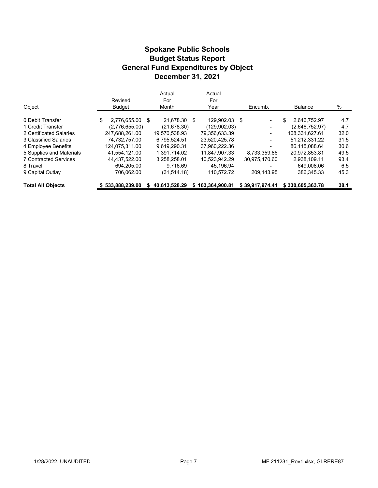#### **Budget Status Report General Fund Expenditures by Object Spokane Public Schools December 31, 2021**

| Object                       | Revised<br><b>Budget</b> |      | Actual<br>For<br>Month | Actual<br>For<br>Year | Encumb.                  | <b>Balance</b>     | %    |
|------------------------------|--------------------------|------|------------------------|-----------------------|--------------------------|--------------------|------|
| 0 Debit Transfer             | \$<br>2.776.655.00       | - \$ | 21.678.30              | \$<br>129.902.03 \$   | $\blacksquare$           | \$<br>2.646.752.97 | 4.7  |
| 1 Credit Transfer            | (2,776,655.00)           |      | (21, 678.30)           | (129.902.03)          | $\overline{\phantom{a}}$ | (2,646,752.97)     | 4.7  |
| 2 Certificated Salaries      | 247.688.261.00           |      | 19.570.538.93          | 79,356,633.39         | -                        | 168,331,627.61     | 32.0 |
| 3 Classified Salaries        | 74.732.757.00            |      | 6.795.524.51           | 23.520.425.78         | ۰                        | 51.212.331.22      | 31.5 |
| 4 Employee Benefits          | 124.075.311.00           |      | 9.619.290.31           | 37.960.222.36         | ۰                        | 86.115.088.64      | 30.6 |
| 5 Supplies and Materials     | 41.554.121.00            |      | 1.391.714.02           | 11.847.907.33         | 8.733.359.86             | 20,972,853.81      | 49.5 |
| <b>7 Contracted Services</b> | 44.437.522.00            |      | 3.258.258.01           | 10.523.942.29         | 30.975.470.60            | 2.938.109.11       | 93.4 |
| 8 Travel                     | 694,205.00               |      | 9.716.69               | 45.196.94             |                          | 649.008.06         | 6.5  |
| 9 Capital Outlay             | 706.062.00               |      | (31, 514, 18)          | 110,572.72            | 209,143.95               | 386.345.33         | 45.3 |
| <b>Total All Objects</b>     | \$533.888.239.00         |      | 40.613.528.29          | \$163.364.900.81      | \$39.917.974.41          | \$330,605,363,78   | 38.1 |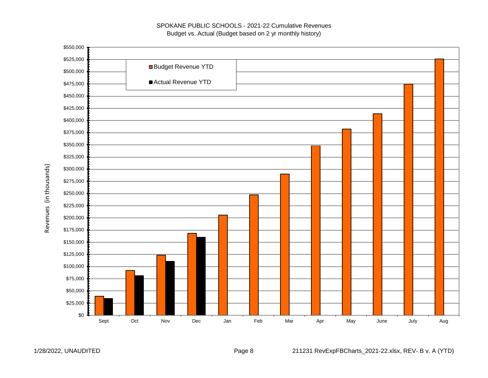#### SPOKANE PUBLIC SCHOOLS - 2021-22 Cumulative Revenues Budget vs. Actual (Budget based on 2 yr monthly history)



Revenues (in thousands) Revenues (in thousands)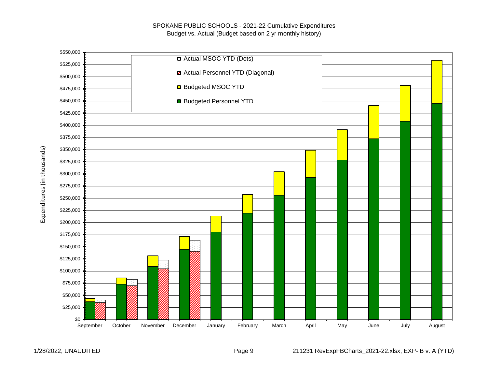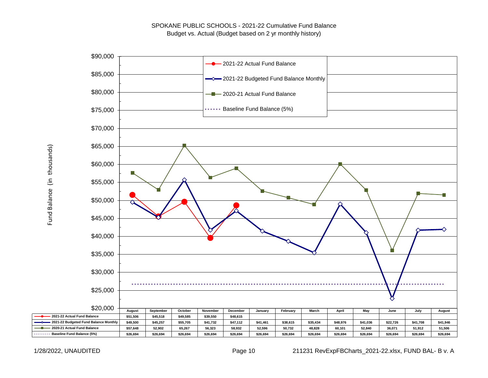

Fund Balance (in thousands) Fund Balance (in thousands)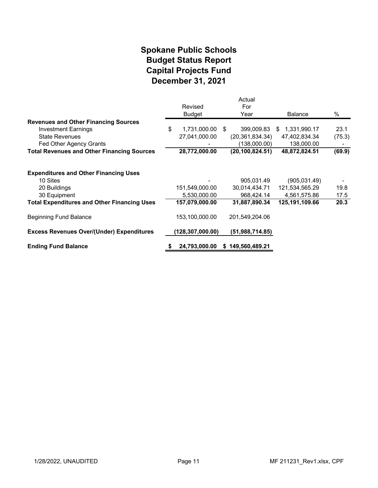#### **December 31, 2021 Spokane Public Schools Capital Projects Fund Budget Status Report**

|                                                                                          | Revised<br><b>Budget</b>       | Actual<br>For<br>Year                     | <b>Balance</b>                                 | %            |
|------------------------------------------------------------------------------------------|--------------------------------|-------------------------------------------|------------------------------------------------|--------------|
| <b>Revenues and Other Financing Sources</b>                                              |                                |                                           |                                                |              |
| <b>Investment Earnings</b>                                                               | \$<br>1,731,000.00             | \$<br>399,009.83                          | 1,331,990.17<br>\$.                            | 23.1         |
| <b>State Revenues</b>                                                                    | 27,041,000.00                  | (20, 361, 834.34)                         | 47,402,834.34                                  | (75.3)       |
| Fed Other Agency Grants                                                                  |                                | (138,000.00)                              | 138,000.00                                     |              |
| <b>Total Revenues and Other Financing Sources</b>                                        | 28,772,000.00                  | (20, 100, 824.51)                         | 48,872,824.51                                  | (69.9)       |
| <b>Expenditures and Other Financing Uses</b><br>10 Sites<br>20 Buildings<br>30 Equipment | 151,549,000.00<br>5,530,000.00 | 905,031.49<br>30,014,434.71<br>968,424.14 | (905,031.49)<br>121,534,565.29<br>4,561,575.86 | 19.8<br>17.5 |
| <b>Total Expenditures and Other Financing Uses</b>                                       | 157,079,000.00                 | 31,887,890.34                             | 125,191,109.66                                 | 20.3         |
| <b>Beginning Fund Balance</b>                                                            | 153,100,000.00                 | 201,549,204.06                            |                                                |              |
| <b>Excess Revenues Over/(Under) Expenditures</b>                                         | 128,307,000.00)                | (51,988,714.85)                           |                                                |              |
| <b>Ending Fund Balance</b>                                                               | 24,793,000.00                  | \$149,560,489.21                          |                                                |              |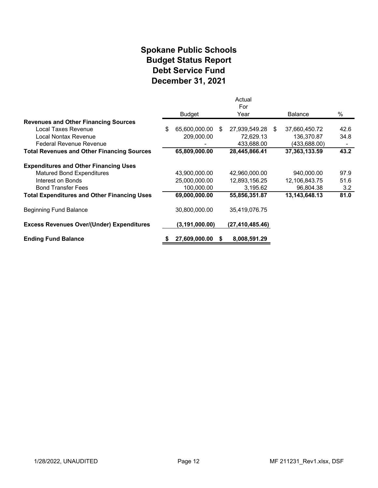#### **Spokane Public Schools Debt Service Fund December 31, 2021 Budget Status Report**

|                                                    |                     |     | Actual            |                |      |
|----------------------------------------------------|---------------------|-----|-------------------|----------------|------|
|                                                    | Budget              |     | For<br>Year       | <b>Balance</b> | $\%$ |
| <b>Revenues and Other Financing Sources</b>        |                     |     |                   |                |      |
| Local Taxes Revenue                                | \$<br>65,600,000.00 | -\$ | 27,939,549.28 \$  | 37,660,450.72  | 42.6 |
| Local Nontax Revenue                               | 209,000.00          |     | 72,629.13         | 136,370.87     | 34.8 |
| <b>Federal Revenue Revenue</b>                     |                     |     | 433,688.00        | (433,688.00)   |      |
| <b>Total Revenues and Other Financing Sources</b>  | 65,809,000.00       |     | 28,445,866.41     | 37,363,133.59  | 43.2 |
| <b>Expenditures and Other Financing Uses</b>       |                     |     |                   |                |      |
| <b>Matured Bond Expenditures</b>                   | 43,900,000.00       |     | 42,960,000.00     | 940,000.00     | 97.9 |
| Interest on Bonds                                  | 25,000,000.00       |     | 12,893,156.25     | 12,106,843.75  | 51.6 |
| <b>Bond Transfer Fees</b>                          | 100,000.00          |     | 3,195.62          | 96,804.38      | 3.2  |
| <b>Total Expenditures and Other Financing Uses</b> | 69,000,000.00       |     | 55,856,351.87     | 13,143,648.13  | 81.0 |
| <b>Beginning Fund Balance</b>                      | 30,800,000.00       |     | 35,419,076.75     |                |      |
| <b>Excess Revenues Over/(Under) Expenditures</b>   | (3, 191, 000.00)    |     | (27, 410, 485.46) |                |      |
| <b>Ending Fund Balance</b>                         | 27,609,000.00       | S   | 8,008,591.29      |                |      |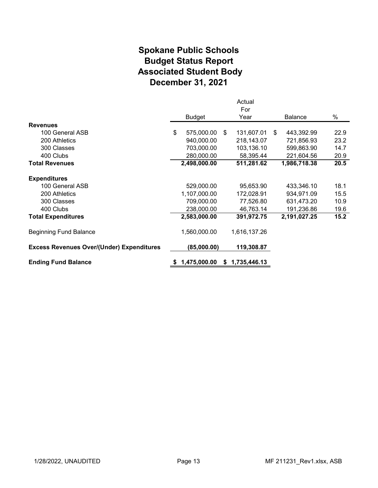#### **Spokane Public Schools Associated Student Body December 31, 2021 Budget Status Report**

|                                                  |                  |    | Actual       |    |                |      |
|--------------------------------------------------|------------------|----|--------------|----|----------------|------|
|                                                  | <b>Budget</b>    |    | For<br>Year  |    | <b>Balance</b> | %    |
| <b>Revenues</b>                                  |                  |    |              |    |                |      |
| 100 General ASB                                  | \$<br>575,000.00 | \$ | 131,607.01   | S. | 443,392.99     | 22.9 |
| 200 Athletics                                    | 940,000.00       |    | 218,143.07   |    | 721,856.93     | 23.2 |
| 300 Classes                                      | 703,000.00       |    | 103,136.10   |    | 599,863.90     | 14.7 |
| 400 Clubs                                        | 280,000.00       |    | 58,395.44    |    | 221,604.56     | 20.9 |
| <b>Total Revenues</b>                            | 2,498,000.00     |    | 511,281.62   |    | 1,986,718.38   | 20.5 |
| <b>Expenditures</b>                              |                  |    |              |    |                |      |
| 100 General ASB                                  | 529,000.00       |    | 95,653.90    |    | 433,346.10     | 18.1 |
| 200 Athletics                                    | 1,107,000.00     |    | 172,028.91   |    | 934,971.09     | 15.5 |
| 300 Classes                                      | 709,000.00       |    | 77,526.80    |    | 631,473.20     | 10.9 |
| 400 Clubs                                        | 238,000.00       |    | 46,763.14    |    | 191,236.86     | 19.6 |
| <b>Total Expenditures</b>                        | 2,583,000.00     |    | 391,972.75   |    | 2,191,027.25   | 15.2 |
| <b>Beginning Fund Balance</b>                    | 1,560,000.00     |    | 1,616,137.26 |    |                |      |
| <b>Excess Revenues Over/(Under) Expenditures</b> | (85,000.00)      |    | 119,308.87   |    |                |      |
| <b>Ending Fund Balance</b>                       | 1,475,000.00     | S. | 1,735,446.13 |    |                |      |